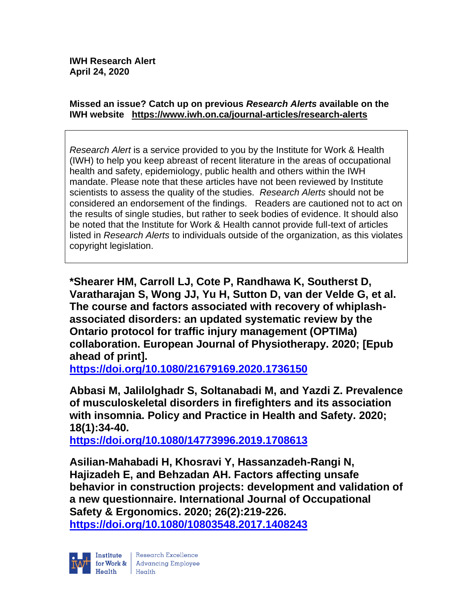#### **Missed an issue? Catch up on previous** *Research Alerts* **available on the [IWH website](http://www.iwh.on.ca/research-alerts) <https://www.iwh.on.ca/journal-articles/research-alerts>**

*Research Alert* is a service provided to you by the Institute for Work & Health (IWH) to help you keep abreast of recent literature in the areas of occupational health and safety, epidemiology, public health and others within the IWH mandate. Please note that these articles have not been reviewed by Institute scientists to assess the quality of the studies. *Research Alerts* should not be considered an endorsement of the findings. Readers are cautioned not to act on the results of single studies, but rather to seek bodies of evidence. It should also be noted that the Institute for Work & Health cannot provide full-text of articles listed in *Research Alerts* to individuals outside of the organization, as this violates copyright legislation.

**\*Shearer HM, Carroll LJ, Cote P, Randhawa K, Southerst D, Varatharajan S, Wong JJ, Yu H, Sutton D, van der Velde G, et al. The course and factors associated with recovery of whiplashassociated disorders: an updated systematic review by the Ontario protocol for traffic injury management (OPTIMa) collaboration. European Journal of Physiotherapy. 2020; [Epub ahead of print].**

**<https://doi.org/10.1080/21679169.2020.1736150>** 

**Abbasi M, Jalilolghadr S, Soltanabadi M, and Yazdi Z. Prevalence of musculoskeletal disorders in firefighters and its association with insomnia. Policy and Practice in Health and Safety. 2020; 18(1):34-40.** 

**<https://doi.org/10.1080/14773996.2019.1708613>** 

**Asilian-Mahabadi H, Khosravi Y, Hassanzadeh-Rangi N, Hajizadeh E, and Behzadan AH. Factors affecting unsafe behavior in construction projects: development and validation of a new questionnaire. International Journal of Occupational Safety & Ergonomics. 2020; 26(2):219-226. <https://doi.org/10.1080/10803548.2017.1408243>** 

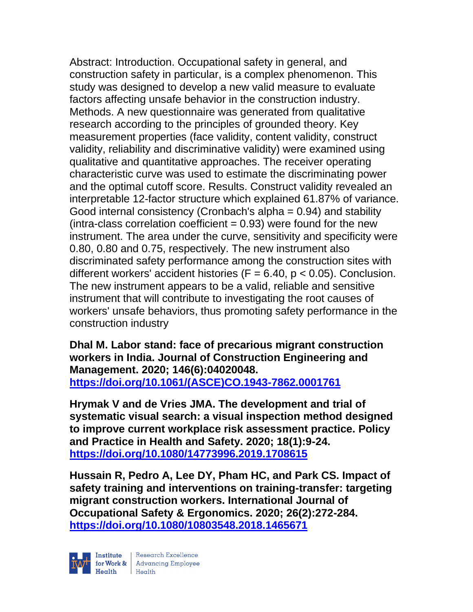Abstract: Introduction. Occupational safety in general, and construction safety in particular, is a complex phenomenon. This study was designed to develop a new valid measure to evaluate factors affecting unsafe behavior in the construction industry. Methods. A new questionnaire was generated from qualitative research according to the principles of grounded theory. Key measurement properties (face validity, content validity, construct validity, reliability and discriminative validity) were examined using qualitative and quantitative approaches. The receiver operating characteristic curve was used to estimate the discriminating power and the optimal cutoff score. Results. Construct validity revealed an interpretable 12-factor structure which explained 61.87% of variance. Good internal consistency (Cronbach's alpha = 0.94) and stability  $(intra-class correlation coefficient = 0.93)$  were found for the new instrument. The area under the curve, sensitivity and specificity were 0.80, 0.80 and 0.75, respectively. The new instrument also discriminated safety performance among the construction sites with different workers' accident histories ( $F = 6.40$ ,  $p < 0.05$ ). Conclusion. The new instrument appears to be a valid, reliable and sensitive instrument that will contribute to investigating the root causes of workers' unsafe behaviors, thus promoting safety performance in the construction industry

**Dhal M. Labor stand: face of precarious migrant construction workers in India. Journal of Construction Engineering and Management. 2020; 146(6):04020048. [https://doi.org/10.1061/\(ASCE\)CO.1943-7862.0001761](https://doi.org/10.1061/(ASCE)CO.1943-7862.0001761)** 

**Hrymak V and de Vries JMA. The development and trial of systematic visual search: a visual inspection method designed to improve current workplace risk assessment practice. Policy and Practice in Health and Safety. 2020; 18(1):9-24. <https://doi.org/10.1080/14773996.2019.1708615>** 

**Hussain R, Pedro A, Lee DY, Pham HC, and Park CS. Impact of safety training and interventions on training-transfer: targeting migrant construction workers. International Journal of Occupational Safety & Ergonomics. 2020; 26(2):272-284. <https://doi.org/10.1080/10803548.2018.1465671>** 

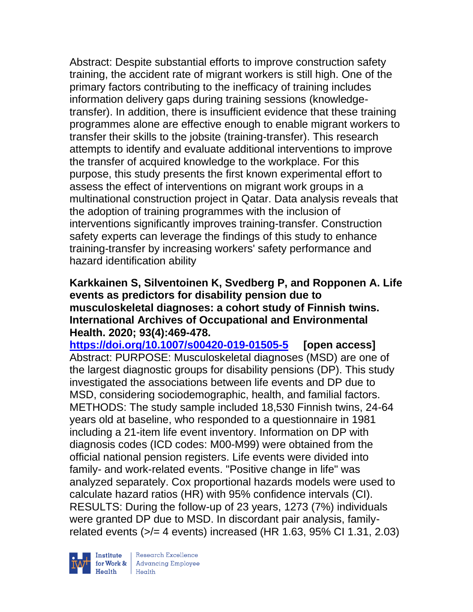Abstract: Despite substantial efforts to improve construction safety training, the accident rate of migrant workers is still high. One of the primary factors contributing to the inefficacy of training includes information delivery gaps during training sessions (knowledgetransfer). In addition, there is insufficient evidence that these training programmes alone are effective enough to enable migrant workers to transfer their skills to the jobsite (training-transfer). This research attempts to identify and evaluate additional interventions to improve the transfer of acquired knowledge to the workplace. For this purpose, this study presents the first known experimental effort to assess the effect of interventions on migrant work groups in a multinational construction project in Qatar. Data analysis reveals that the adoption of training programmes with the inclusion of interventions significantly improves training-transfer. Construction safety experts can leverage the findings of this study to enhance training-transfer by increasing workers' safety performance and hazard identification ability

## **Karkkainen S, Silventoinen K, Svedberg P, and Ropponen A. Life events as predictors for disability pension due to musculoskeletal diagnoses: a cohort study of Finnish twins. International Archives of Occupational and Environmental Health. 2020; 93(4):469-478.**

**<https://doi.org/10.1007/s00420-019-01505-5> [open access]** Abstract: PURPOSE: Musculoskeletal diagnoses (MSD) are one of the largest diagnostic groups for disability pensions (DP). This study investigated the associations between life events and DP due to MSD, considering sociodemographic, health, and familial factors. METHODS: The study sample included 18,530 Finnish twins, 24-64 years old at baseline, who responded to a questionnaire in 1981 including a 21-item life event inventory. Information on DP with diagnosis codes (ICD codes: M00-M99) were obtained from the official national pension registers. Life events were divided into family- and work-related events. "Positive change in life" was analyzed separately. Cox proportional hazards models were used to calculate hazard ratios (HR) with 95% confidence intervals (CI). RESULTS: During the follow-up of 23 years, 1273 (7%) individuals were granted DP due to MSD. In discordant pair analysis, familyrelated events (>/= 4 events) increased (HR 1.63, 95% CI 1.31, 2.03)

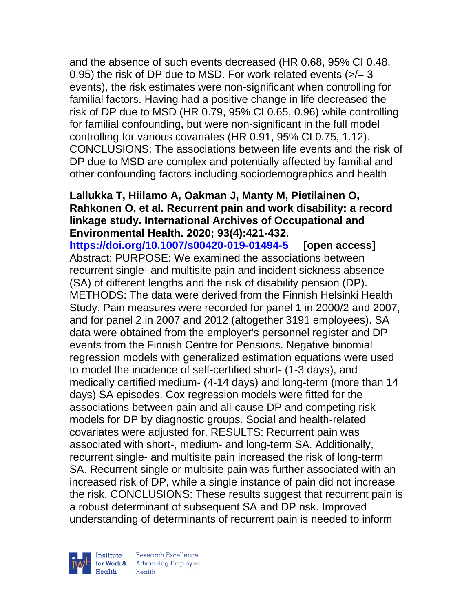and the absence of such events decreased (HR 0.68, 95% CI 0.48, 0.95) the risk of DP due to MSD. For work-related events (>/= 3 events), the risk estimates were non-significant when controlling for familial factors. Having had a positive change in life decreased the risk of DP due to MSD (HR 0.79, 95% CI 0.65, 0.96) while controlling for familial confounding, but were non-significant in the full model controlling for various covariates (HR 0.91, 95% CI 0.75, 1.12). CONCLUSIONS: The associations between life events and the risk of DP due to MSD are complex and potentially affected by familial and other confounding factors including sociodemographics and health

## **Lallukka T, Hiilamo A, Oakman J, Manty M, Pietilainen O, Rahkonen O, et al. Recurrent pain and work disability: a record linkage study. International Archives of Occupational and Environmental Health. 2020; 93(4):421-432. <https://doi.org/10.1007/s00420-019-01494-5> [open access]** Abstract: PURPOSE: We examined the associations between recurrent single- and multisite pain and incident sickness absence (SA) of different lengths and the risk of disability pension (DP). METHODS: The data were derived from the Finnish Helsinki Health Study. Pain measures were recorded for panel 1 in 2000/2 and 2007, and for panel 2 in 2007 and 2012 (altogether 3191 employees). SA data were obtained from the employer's personnel register and DP events from the Finnish Centre for Pensions. Negative binomial regression models with generalized estimation equations were used to model the incidence of self-certified short- (1-3 days), and medically certified medium- (4-14 days) and long-term (more than 14 days) SA episodes. Cox regression models were fitted for the associations between pain and all-cause DP and competing risk models for DP by diagnostic groups. Social and health-related covariates were adjusted for. RESULTS: Recurrent pain was associated with short-, medium- and long-term SA. Additionally, recurrent single- and multisite pain increased the risk of long-term SA. Recurrent single or multisite pain was further associated with an increased risk of DP, while a single instance of pain did not increase the risk. CONCLUSIONS: These results suggest that recurrent pain is a robust determinant of subsequent SA and DP risk. Improved understanding of determinants of recurrent pain is needed to inform



| Research Excellence for Work & Advancing Employee<br>Health Health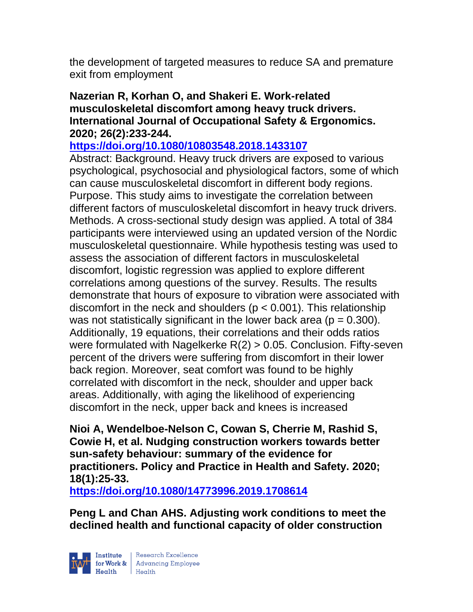the development of targeted measures to reduce SA and premature exit from employment

# **Nazerian R, Korhan O, and Shakeri E. Work-related musculoskeletal discomfort among heavy truck drivers. International Journal of Occupational Safety & Ergonomics. 2020; 26(2):233-244.**

# **<https://doi.org/10.1080/10803548.2018.1433107>**

Abstract: Background. Heavy truck drivers are exposed to various psychological, psychosocial and physiological factors, some of which can cause musculoskeletal discomfort in different body regions. Purpose. This study aims to investigate the correlation between different factors of musculoskeletal discomfort in heavy truck drivers. Methods. A cross-sectional study design was applied. A total of 384 participants were interviewed using an updated version of the Nordic musculoskeletal questionnaire. While hypothesis testing was used to assess the association of different factors in musculoskeletal discomfort, logistic regression was applied to explore different correlations among questions of the survey. Results. The results demonstrate that hours of exposure to vibration were associated with discomfort in the neck and shoulders ( $p < 0.001$ ). This relationship was not statistically significant in the lower back area ( $p = 0.300$ ). Additionally, 19 equations, their correlations and their odds ratios were formulated with Nagelkerke R(2) > 0.05. Conclusion. Fifty-seven percent of the drivers were suffering from discomfort in their lower back region. Moreover, seat comfort was found to be highly correlated with discomfort in the neck, shoulder and upper back areas. Additionally, with aging the likelihood of experiencing discomfort in the neck, upper back and knees is increased

**Nioi A, Wendelboe-Nelson C, Cowan S, Cherrie M, Rashid S, Cowie H, et al. Nudging construction workers towards better sun-safety behaviour: summary of the evidence for practitioners. Policy and Practice in Health and Safety. 2020; 18(1):25-33.** 

**<https://doi.org/10.1080/14773996.2019.1708614>** 

**Peng L and Chan AHS. Adjusting work conditions to meet the declined health and functional capacity of older construction** 

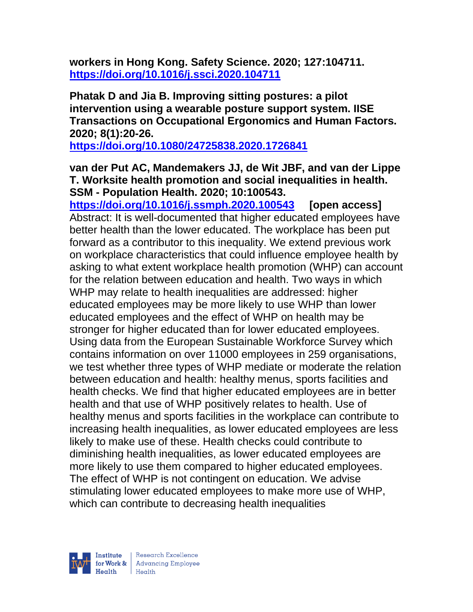**workers in Hong Kong. Safety Science. 2020; 127:104711. <https://doi.org/10.1016/j.ssci.2020.104711>** 

**Phatak D and Jia B. Improving sitting postures: a pilot intervention using a wearable posture support system. IISE Transactions on Occupational Ergonomics and Human Factors. 2020; 8(1):20-26.** 

**<https://doi.org/10.1080/24725838.2020.1726841>** 

# **van der Put AC, Mandemakers JJ, de Wit JBF, and van der Lippe T. Worksite health promotion and social inequalities in health. SSM - Population Health. 2020; 10:100543.**

**<https://doi.org/10.1016/j.ssmph.2020.100543> [open access]** Abstract: It is well-documented that higher educated employees have better health than the lower educated. The workplace has been put forward as a contributor to this inequality. We extend previous work on workplace characteristics that could influence employee health by asking to what extent workplace health promotion (WHP) can account for the relation between education and health. Two ways in which WHP may relate to health inequalities are addressed: higher educated employees may be more likely to use WHP than lower educated employees and the effect of WHP on health may be stronger for higher educated than for lower educated employees. Using data from the European Sustainable Workforce Survey which contains information on over 11000 employees in 259 organisations, we test whether three types of WHP mediate or moderate the relation between education and health: healthy menus, sports facilities and health checks. We find that higher educated employees are in better health and that use of WHP positively relates to health. Use of healthy menus and sports facilities in the workplace can contribute to increasing health inequalities, as lower educated employees are less likely to make use of these. Health checks could contribute to diminishing health inequalities, as lower educated employees are more likely to use them compared to higher educated employees. The effect of WHP is not contingent on education. We advise stimulating lower educated employees to make more use of WHP, which can contribute to decreasing health inequalities

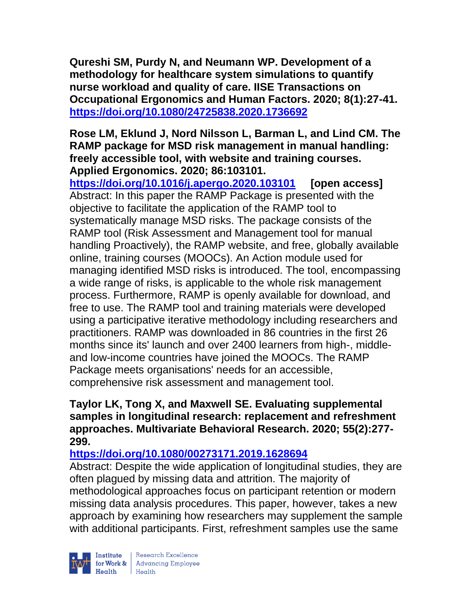**Qureshi SM, Purdy N, and Neumann WP. Development of a methodology for healthcare system simulations to quantify nurse workload and quality of care. IISE Transactions on Occupational Ergonomics and Human Factors. 2020; 8(1):27-41. <https://doi.org/10.1080/24725838.2020.1736692>** 

# **Rose LM, Eklund J, Nord Nilsson L, Barman L, and Lind CM. The RAMP package for MSD risk management in manual handling: freely accessible tool, with website and training courses. Applied Ergonomics. 2020; 86:103101.**

**<https://doi.org/10.1016/j.apergo.2020.103101> [open access]** Abstract: In this paper the RAMP Package is presented with the objective to facilitate the application of the RAMP tool to systematically manage MSD risks. The package consists of the RAMP tool (Risk Assessment and Management tool for manual handling Proactively), the RAMP website, and free, globally available online, training courses (MOOCs). An Action module used for managing identified MSD risks is introduced. The tool, encompassing a wide range of risks, is applicable to the whole risk management process. Furthermore, RAMP is openly available for download, and free to use. The RAMP tool and training materials were developed using a participative iterative methodology including researchers and practitioners. RAMP was downloaded in 86 countries in the first 26 months since its' launch and over 2400 learners from high-, middleand low-income countries have joined the MOOCs. The RAMP Package meets organisations' needs for an accessible, comprehensive risk assessment and management tool.

## **Taylor LK, Tong X, and Maxwell SE. Evaluating supplemental samples in longitudinal research: replacement and refreshment approaches. Multivariate Behavioral Research. 2020; 55(2):277- 299.**

# **<https://doi.org/10.1080/00273171.2019.1628694>**

Abstract: Despite the wide application of longitudinal studies, they are often plagued by missing data and attrition. The majority of methodological approaches focus on participant retention or modern missing data analysis procedures. This paper, however, takes a new approach by examining how researchers may supplement the sample with additional participants. First, refreshment samples use the same